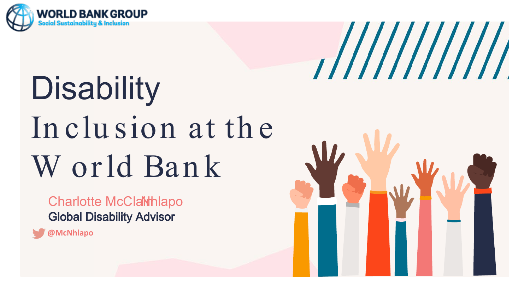

# **Disability** Inclusion at the W orld Bank

Charlotte McClain-Nhlapo Global Disability Advisor

**@McNhlapo**



 $\frac{1}{2}$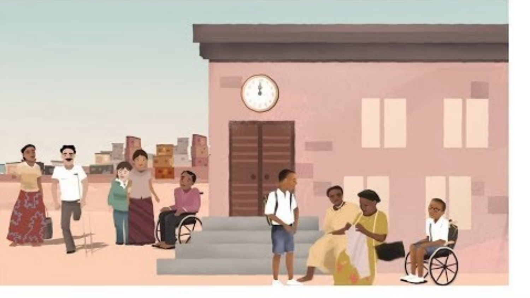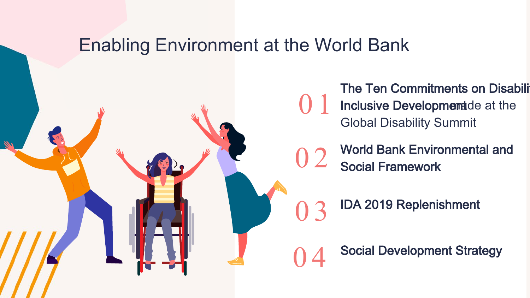#### Enabling Environment at the World Bank

0 1 **The Ten Commitments on Disabili** Inclusive Development de at the Global Disability Summit

0 2 World Bank Environmental and Social Framework

IDA 2019 Replenishment

0 3

0 4

Social Development Strategy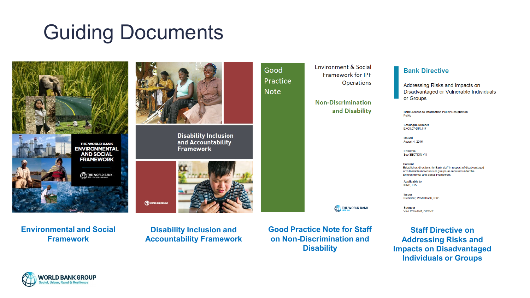### Guiding Documents





**Disability Inclusion** and Accountability **Framework** 



Good Practice **Note** 

**Non-Discrimination** 

**Environment & Social** 

Framework for IPF

Operations

#### and Disability

THE WORLD BANK

#### **Bank Directive**

Addressing Risks and Impacts on Disadvantaged or Vulnerable Individuals or Groups

**Bank Access to Information Policy Designation** Public

**Catalogue Number EXC5 07-DIR 117** 

**Issued** August 4, 2016

Effective See SECTION VIII

Content Establishes directions for Bank staff in respect of disadvantaged or vulnerable individuals or groups as required under the **Environmental and Social Framework.** 

Applicable to **IBRD, IDA** 

Issuer President, World Bank, EXC

**Sponsor** Vice President, OPSVP

**Staff Directive on Addressing Risks and Impacts on Disadvantaged Individuals or Groups**

**Environmental and Social Framework**

**Disability Inclusion and Accountability Framework** **Good Practice Note for Staff on Non-Discrimination and Disability**

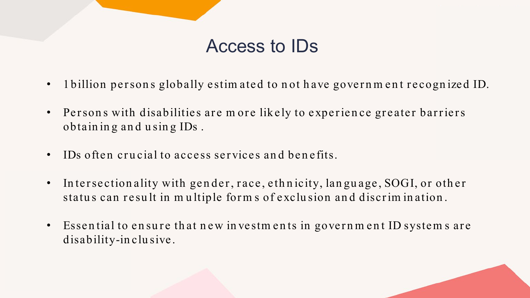### Access to IDs

- 1 billion persons globally estimated to not have government recognized ID.
- Persons with disabilities are more likely to experience greater barriers obtain in g an d u sin g IDs .
- IDs often crucial to access services and benefits.
- In tersection ality with gen der, race, eth n icity, lan gu age, SOGI, or oth er status can result in multiple forms of exclusion and discrimination.
- Essential to ensure that new investments in government ID systems are disability-in clusive.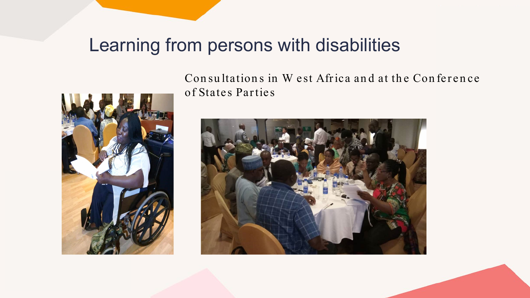#### Learning from persons with disabilities



#### Consultations in W est Africa and at the Conference of States Parties



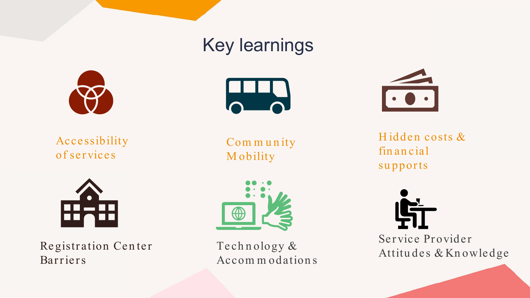### **Key learnings**



Accessibility of services



Registration Center Barriers



Community Mobility



Technology & Accommodations



Hidden costs & financial supports



Service Provider Attitudes & Knowledge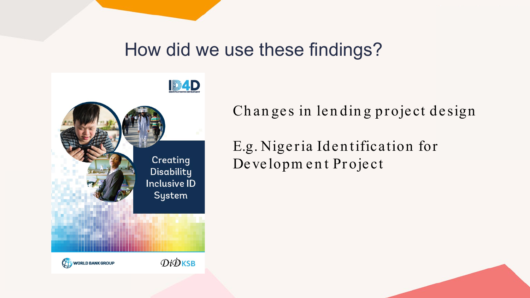#### How did we use these findings?



Changes in lending project design

E.g. Nigeria Identification for Development Project